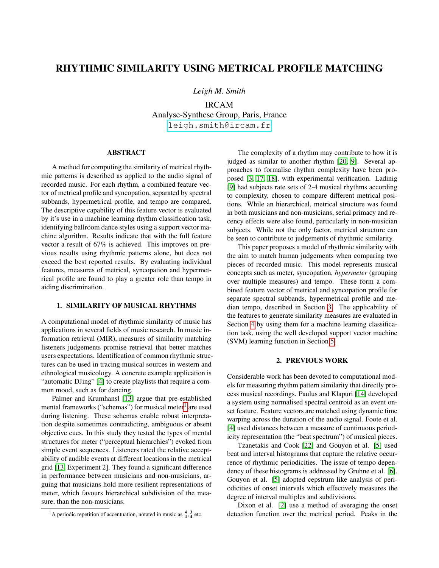# RHYTHMIC SIMILARITY USING METRICAL PROFILE MATCHING

*Leigh M. Smith*

IRCAM Analyse-Synthese Group, Paris, France [leigh.smith@ircam.fr](mailto:leigh.smith@ircam.fr)

# ABSTRACT

A method for computing the similarity of metrical rhythmic patterns is described as applied to the audio signal of recorded music. For each rhythm, a combined feature vector of metrical profile and syncopation, separated by spectral subbands, hypermetrical profile, and tempo are compared. The descriptive capability of this feature vector is evaluated by it's use in a machine learning rhythm classification task, identifying ballroom dance styles using a support vector machine algorithm. Results indicate that with the full feature vector a result of 67% is achieved. This improves on previous results using rhythmic patterns alone, but does not exceed the best reported results. By evaluating individual features, measures of metrical, syncopation and hypermetrical profile are found to play a greater role than tempo in aiding discrimination.

# 1. SIMILARITY OF MUSICAL RHYTHMS

A computational model of rhythmic similarity of music has applications in several fields of music research. In music information retrieval (MIR), measures of similarity matching listeners judgements promise retrieval that better matches users expectations. Identification of common rhythmic structures can be used in tracing musical sources in western and ethnological musicology. A concrete example application is "automatic DJing" [\[4\]](#page-4-0) to create playlists that require a common mood, such as for dancing.

Palmer and Krumhansl [\[13\]](#page-4-1) argue that pre-established mental frameworks ("schemas") for musical meter $^1$  $^1$  are used during listening. These schemas enable robust interpretation despite sometimes contradicting, ambiguous or absent objective cues. In this study they tested the types of mental structures for meter ("perceptual hierarchies") evoked from simple event sequences. Listeners rated the relative acceptability of audible events at different locations in the metrical grid [\[13,](#page-4-1) Experiment 2]. They found a significant difference in performance between musicians and non-musicians, arguing that musicians hold more resilient representations of meter, which favours hierarchical subdivision of the measure, than the non-musicians.

The complexity of a rhythm may contribute to how it is judged as similar to another rhythm [\[20,](#page-5-0) [9\]](#page-4-2). Several approaches to formalise rhythm complexity have been proposed [\[3,](#page-4-3) [17,](#page-5-1) [18\]](#page-5-2), with experimental verification. Ladinig [\[9\]](#page-4-2) had subjects rate sets of 2-4 musical rhythms according to complexity, chosen to compare different metrical positions. While an hierarchical, metrical structure was found in both musicians and non-musicians, serial primacy and recency effects were also found, particularly in non-musician subjects. While not the only factor, metrical structure can be seen to contribute to judgements of rhythmic similarity.

This paper proposes a model of rhythmic similarity with the aim to match human judgements when comparing two pieces of recorded music. This model represents musical concepts such as meter, syncopation, *hypermeter* (grouping over multiple measures) and tempo. These form a combined feature vector of metrical and syncopation profile for separate spectral subbands, hypermetrical profile and median tempo, described in Section [3.](#page-1-0) The applicability of the features to generate similarity measures are evaluated in Section [4](#page-3-0) by using them for a machine learning classification task, using the well developed support vector machine (SVM) learning function in Section [5.](#page-3-1)

# 2. PREVIOUS WORK

Considerable work has been devoted to computational models for measuring rhythm pattern similarity that directly process musical recordings. Paulus and Klapuri [\[14\]](#page-4-4) developed a system using normalised spectral centroid as an event onset feature. Feature vectors are matched using dynamic time warping across the duration of the audio signal. Foote et al. [\[4\]](#page-4-0) used distances between a measure of continuous periodicity representation (the "beat spectrum") of musical pieces.

Tzanetakis and Cook [\[22\]](#page-5-3) and Gouyon et al. [\[5\]](#page-4-5) used beat and interval histograms that capture the relative occurrence of rhythmic periodicities. The issue of tempo dependency of these histograms is addressed by Gruhne et al. [\[6\]](#page-4-6). Gouyon et al. [\[5\]](#page-4-5) adopted cepstrum like analysis of periodicities of onset intervals which effectively measures the degree of interval multiples and subdivisions.

Dixon et al. [\[2\]](#page-4-7) use a method of averaging the onset detection function over the metrical period. Peaks in the

<span id="page-0-0"></span><sup>&</sup>lt;sup>1</sup>A periodic repetition of accentuation, notated in music as  $\frac{4}{4}, \frac{3}{4}$  etc.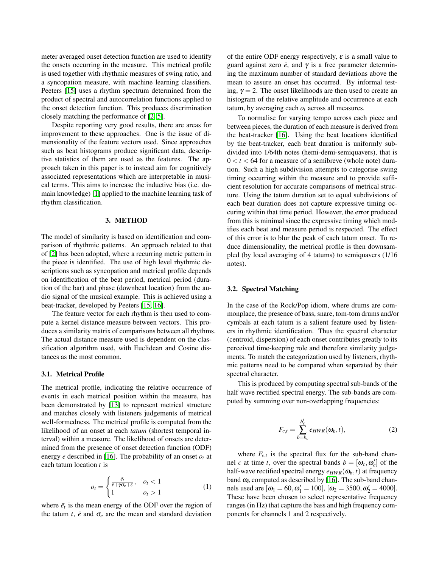meter averaged onset detection function are used to identify the onsets occurring in the measure. This metrical profile is used together with rhythmic measures of swing ratio, and a syncopation measure, with machine learning classifiers. Peeters [\[15\]](#page-5-4) uses a rhythm spectrum determined from the product of spectral and autocorrelation functions applied to the onset detection function. This produces discrimination closely matching the performance of [\[2,](#page-4-7) [5\]](#page-4-5).

Despite reporting very good results, there are areas for improvement to these approaches. One is the issue of dimensionality of the feature vectors used. Since approaches such as beat histograms produce significant data, descriptive statistics of them are used as the features. The approach taken in this paper is to instead aim for cognitively associated representations which are interpretable in musical terms. This aims to increase the inductive bias (i.e. domain knowledge) [\[1\]](#page-4-8) applied to the machine learning task of rhythm classification.

#### 3. METHOD

<span id="page-1-0"></span>The model of similarity is based on identification and comparison of rhythmic patterns. An approach related to that of [\[2\]](#page-4-7) has been adopted, where a recurring metric pattern in the piece is identified. The use of high level rhythmic descriptions such as syncopation and metrical profile depends on identification of the beat period, metrical period (duration of the bar) and phase (downbeat location) from the audio signal of the musical example. This is achieved using a beat-tracker, developed by Peeters [\[15,](#page-5-4) [16\]](#page-5-5).

The feature vector for each rhythm is then used to compute a kernel distance measure between vectors. This produces a similarity matrix of comparisons between all rhythms. The actual distance measure used is dependent on the classification algorithm used, with Euclidean and Cosine distances as the most common.

# 3.1. Metrical Profile

The metrical profile, indicating the relative occurrence of events in each metrical position within the measure, has been demonstrated by [\[13\]](#page-4-1) to represent metrical structure and matches closely with listeners judgements of metrical well-formedness. The metrical profile is computed from the likelihood of an onset at each *tatum* (shortest temporal interval) within a measure. The likelihood of onsets are determined from the presence of onset detection function (ODF) energy *e* described in [\[16\]](#page-5-5). The probability of an onset  $o_t$  at each tatum location *t* is

<span id="page-1-1"></span>
$$
o_t = \begin{cases} \frac{\bar{e_t}}{\bar{e} + \gamma \sigma_e + \varepsilon}, & o_t < 1\\ 1 & o_t > 1 \end{cases}
$$
 (1)

where  $\bar{e}_t$  is the mean energy of the ODF over the region of the tatum *t*,  $\bar{e}$  and  $\sigma_e$  are the mean and standard deviation of the entire ODF energy respectively,  $\varepsilon$  is a small value to guard against zero  $\bar{e}$ , and  $\gamma$  is a free parameter determining the maximum number of standard deviations above the mean to assure an onset has occurred. By informal testing,  $\gamma = 2$ . The onset likelihoods are then used to create an histogram of the relative amplitude and occurrence at each tatum, by averaging each *o<sup>t</sup>* across all measures.

To normalise for varying tempo across each piece and between pieces, the duration of each measure is derived from the beat-tracker [\[16\]](#page-5-5). Using the beat locations identified by the beat-tracker, each beat duration is uniformly subdivided into 1/64th notes (hemi-demi-semiquavers), that is  $0 < t < 64$  for a measure of a semibreve (whole note) duration. Such a high subdivision attempts to categorise swing timing occurring within the measure and to provide sufficient resolution for accurate comparisons of metrical structure. Using the tatum duration set to equal subdivisions of each beat duration does not capture expressive timing occuring within that time period. However, the error produced from this is minimal since the expressive timing which modifies each beat and measure period is respected. The effect of this error is to blur the peak of each tatum onset. To reduce dimensionality, the metrical profile is then downsampled (by local averaging of 4 tatums) to semiquavers (1/16 notes).

#### 3.2. Spectral Matching

In the case of the Rock/Pop idiom, where drums are commonplace, the presence of bass, snare, tom-tom drums and/or cymbals at each tatum is a salient feature used by listeners in rhythmic identification. Thus the spectral character (centroid, dispersion) of each onset contributes greatly to its perceived time-keeping role and therefore similarity judgements. To match the categorization used by listeners, rhythmic patterns need to be compared when separated by their spectral character.

This is produced by computing spectral sub-bands of the half wave rectified spectral energy. The sub-bands are computed by summing over non-overlapping frequencies:

$$
F_{c,t} = \sum_{b=b_c}^{b'_c} e_{HWR}(\omega_b, t),
$$
 (2)

where  $F_{c,t}$  is the spectral flux for the sub-band channel *c* at time *t*, over the spectral bands  $b = [\omega_c, \omega_c']$  of the half-wave rectified spectral energy  $e_{HWR}(\omega_b,t)$  at frequency band  $\omega_b$  computed as described by [\[16\]](#page-5-5). The sub-band channels used are  $[\omega_1 = 60, \omega'_1 = 100]$ ,  $[\omega_2 = 3500, \omega'_2 = 4000]$ . These have been chosen to select representative frequency ranges (in Hz) that capture the bass and high frequency components for channels 1 and 2 respectively.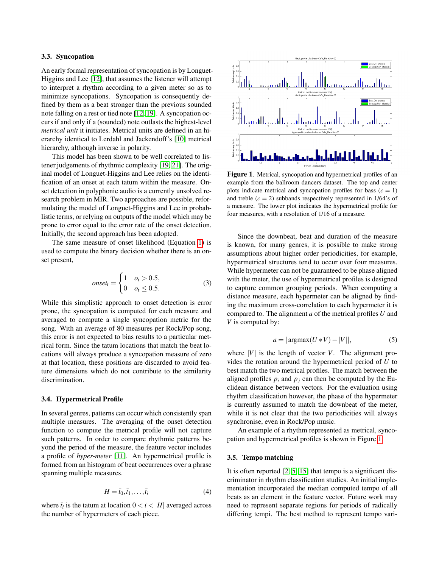#### 3.3. Syncopation

An early formal representation of syncopation is by Longuet-Higgins and Lee [\[12\]](#page-4-9), that assumes the listener will attempt to interpret a rhythm according to a given meter so as to minimize syncopations. Syncopation is consequently defined by them as a beat stronger than the previous sounded note falling on a rest or tied note [\[12,](#page-4-9) [19\]](#page-5-6). A syncopation occurs if and only if a (sounded) note outlasts the highest-level *metrical unit* it initiates. Metrical units are defined in an hierarchy identical to Lerdahl and Jackendoff's [\[10\]](#page-4-10) metrical hierarchy, although inverse in polarity.

This model has been shown to be well correlated to listener judgements of rhythmic complexity [\[19,](#page-5-6) [21\]](#page-5-7). The original model of Longuet-Higgins and Lee relies on the identification of an onset at each tatum within the measure. Onset detection in polyphonic audio is a currently unsolved research problem in MIR. Two approaches are possible, reformulating the model of Longuet-Higgins and Lee in probablistic terms, or relying on outputs of the model which may be prone to error equal to the error rate of the onset detection. Initially, the second approach has been adopted.

The same measure of onset likelihood (Equation [1\)](#page-1-1) is used to compute the binary decision whether there is an onset present,

$$
onset_t = \begin{cases} 1 & o_t > 0.5, \\ 0 & o_t \le 0.5. \end{cases}
$$
 (3)

While this simplistic approach to onset detection is error prone, the syncopation is computed for each measure and averaged to compute a single syncopation metric for the song. With an average of 80 measures per Rock/Pop song, this error is not expected to bias results to a particular metrical form. Since the tatum locations that match the beat locations will always produce a syncopation measure of zero at that location, these positions are discarded to avoid feature dimensions which do not contribute to the similarity discrimination.

#### 3.4. Hypermetrical Profile

In several genres, patterns can occur which consistently span multiple measures. The averaging of the onset detection function to compute the metrical profile will not capture such patterns. In order to compare rhythmic patterns beyond the period of the measure, the feature vector includes a profile of *hyper-meter* [\[11\]](#page-4-11). An hypermetrical profile is formed from an histogram of beat occurrences over a phrase spanning multiple measures.

$$
H = \bar{t}_0, \bar{t}_1, \dots, \bar{t}_i \tag{4}
$$

where  $\bar{t}_i$  is the tatum at location  $0 < i < |H|$  averaged across the number of hypermeters of each piece.

<span id="page-2-0"></span>

Figure 1. Metrical, syncopation and hypermetrical profiles of an example from the ballroom dancers dataset. The top and center plots indicate metrical and syncopation profiles for bass  $(c = 1)$ and treble  $(c = 2)$  subbands respectively represented in 1/64's of a measure. The lower plot indicates the hypermetrical profile for four measures, with a resolution of 1/16 of a measure.

Since the downbeat, beat and duration of the measure is known, for many genres, it is possible to make strong assumptions about higher order periodicities, for example, hypermetrical structures tend to occur over four measures. While hypermeter can not be guaranteed to be phase aligned with the meter, the use of hypermetrical profiles is designed to capture common grouping periods. When computing a distance measure, each hypermeter can be aligned by finding the maximum cross-correlation to each hypermeter it is compared to. The alignment *a* of the metrical profiles *U* and *V* is computed by:

$$
a = |\operatorname{argmax}(U \ast V) - |V||,\tag{5}
$$

where  $|V|$  is the length of vector *V*. The alignment provides the rotation around the hypermetrical period of *U* to best match the two metrical profiles. The match between the aligned profiles  $p_i$  and  $p_j$  can then be computed by the Euclidean distance between vectors. For the evaluation using rhythm classification however, the phase of the hypermeter is currently assumed to match the downbeat of the meter, while it is not clear that the two periodicities will always synchronise, even in Rock/Pop music.

An example of a rhythm represented as metrical, syncopation and hypermetrical profiles is shown in Figure [1.](#page-2-0)

# 3.5. Tempo matching

It is often reported [\[2,](#page-4-7) [5,](#page-4-5) [15\]](#page-5-4) that tempo is a significant discriminator in rhythm classification studies. An initial implementation incorporated the median computed tempo of all beats as an element in the feature vector. Future work may need to represent separate regions for periods of radically differing tempi. The best method to represent tempo vari-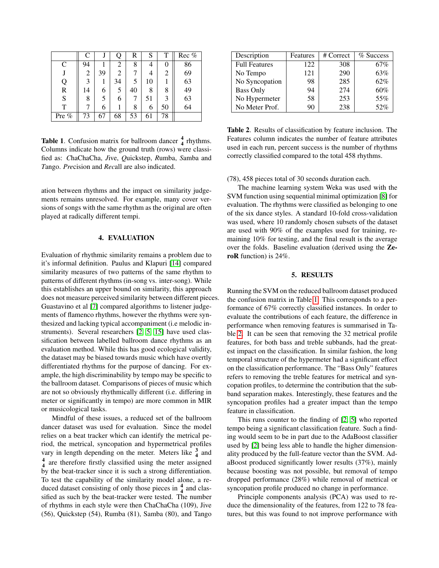<span id="page-3-2"></span>

|       | C  | J  | Q  | R  | S  | T  | Rec % |
|-------|----|----|----|----|----|----|-------|
| C     | 94 |    | 2  | 8  | 4  |    | 86    |
|       | 2  | 39 | 2  |    | 4  |    | 69    |
| Q     | 3  |    | 34 | 5  | 10 |    | 63    |
| R     | 14 | 6  | 5  | 40 | 8  | 8  | 49    |
| S     | 8  | 5  | 6  |    | 51 |    | 63    |
| T     |    | 6  |    | 8  | 6  | 50 | 64    |
| Pre % | 73 | 67 | 68 | 53 | 61 | 78 |       |

**Table 1.** Confusion matrix for ballroom dancer  $\frac{4}{4}$  rhythms. Columns indicate how the ground truth (rows) were classified as: *C*haChaCha, *J*ive, *Q*uickstep, *R*umba, *S*amba and *T*ango. *Pre*cision and *Rec*all are also indicated.

ation between rhythms and the impact on similarity judgements remains unresolved. For example, many cover versions of songs with the same rhythm as the original are often played at radically different tempi.

# 4. EVALUATION

<span id="page-3-0"></span>Evaluation of rhythmic similarity remains a problem due to it's informal definition. Paulus and Klapuri [\[14\]](#page-4-4) compared similarity measures of two patterns of the same rhythm to patterns of different rhythms (in-song vs. inter-song). While this establishes an upper bound on similarity, this approach does not measure perceived similarity between different pieces. Guastavino et al [\[7\]](#page-4-12) compared algorithms to listener judgements of flamenco rhythms, however the rhythms were synthesized and lacking typical accompaniment (i.e melodic instruments). Several researchers [\[2,](#page-4-7) [5,](#page-4-5) [15\]](#page-5-4) have used classification between labelled ballroom dance rhythms as an evaluation method. While this has good ecological validity, the dataset may be biased towards music which have overtly differentiated rhythms for the purpose of dancing. For example, the high discriminability by tempo may be specific to the ballroom dataset. Comparisons of pieces of music which are not so obviously rhythmically different (i.e. differing in meter or significantly in tempo) are more common in MIR or musicological tasks.

Mindful of these issues, a reduced set of the ballroom dancer dataset was used for evaluation. Since the model relies on a beat tracker which can identify the metrical period, the metrical, syncopation and hypermetrical profiles vary in length depending on the meter. Meters like  $\frac{3}{4}$  and <sup>4</sup> are therefore firstly classified using the meter assigned by the beat-tracker since it is such a strong differentiation. To test the capability of the similarity model alone, a reduced dataset consisting of only those pieces in  $\frac{4}{4}$  and classified as such by the beat-tracker were tested. The number of rhythms in each style were then ChaChaCha (109), Jive (56), Quickstep (54), Rumba (81), Samba (80), and Tango

<span id="page-3-1"></span>

| Description          | Features | # Correct | % Success |
|----------------------|----------|-----------|-----------|
| <b>Full Features</b> | 122      | 308       | 67%       |
| No Tempo             | 121      | 290       | 63%       |
| No Syncopation       | 98       | 285       | 62%       |
| <b>Bass Only</b>     | 94       | 274       | 60%       |
| No Hypermeter        | 58       | 253       | 55%       |
| No Meter Prof.       | 90       | 238       | 52%       |

Table 2. Results of classification by feature inclusion. The Features column indicates the number of feature attributes used in each run, percent success is the number of rhythms correctly classified compared to the total 458 rhythms.

(78), 458 pieces total of 30 seconds duration each.

The machine learning system Weka was used with the SVM function using sequential minimal optimization [\[8\]](#page-4-13) for evaluation. The rhythms were classified as belonging to one of the six dance styles. A standard 10-fold cross-validation was used, where 10 randomly chosen subsets of the dataset are used with 90% of the examples used for training, remaining 10% for testing, and the final result is the average over the folds. Baseline evaluation (derived using the ZeroR function) is 24%.

## 5. RESULTS

Running the SVM on the reduced ballroom dataset produced the confusion matrix in Table [1.](#page-3-2) This corresponds to a performance of 67% correctly classified instances. In order to evaluate the contributions of each feature, the difference in performance when removing features is summarised in Table [2.](#page-3-1) It can be seen that removing the 32 metrical profile features, for both bass and treble subbands, had the greatest impact on the classification. In similar fashion, the long temporal structure of the hypermeter had a significant effect on the classification performance. The "Bass Only" features refers to removing the treble features for metrical and syncopation profiles, to determine the contribution that the subband separation makes. Interestingly, these features and the syncopation profiles had a greater impact than the tempo feature in classification.

This runs counter to the finding of [\[2,](#page-4-7) [5\]](#page-4-5) who reported tempo being a significant classification feature. Such a finding would seem to be in part due to the AdaBoost classifier used by [\[2\]](#page-4-7) being less able to handle the higher dimensionality produced by the full-feature vector than the SVM. AdaBoost produced significantly lower results (37%), mainly because boosting was not possible, but removal of tempo dropped performance (28%) while removal of metrical or syncopation profile produced no change in performance.

Principle components analysis (PCA) was used to reduce the dimensionality of the features, from 122 to 78 features, but this was found to not improve performance with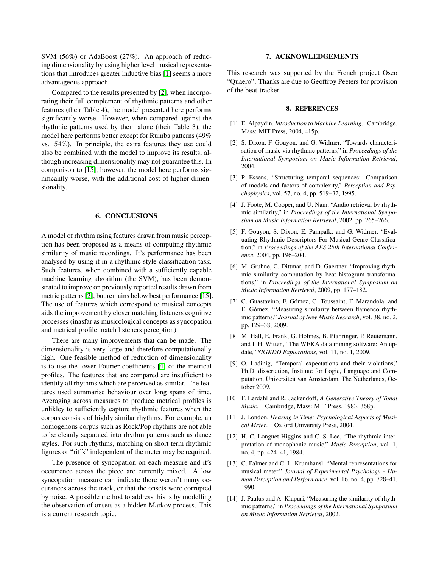SVM (56%) or AdaBoost (27%). An approach of reducing dimensionality by using higher level musical representations that introduces greater inductive bias [\[1\]](#page-4-8) seems a more advantageous approach.

Compared to the results presented by [\[2\]](#page-4-7), when incorporating their full complement of rhythmic patterns and other features (their Table 4), the model presented here performs significantly worse. However, when compared against the rhythmic patterns used by them alone (their Table 3), the model here performs better except for Rumba patterns (49% vs. 54%). In principle, the extra features they use could also be combined with the model to improve its results, although increasing dimensionality may not guarantee this. In comparison to [\[15\]](#page-5-4), however, the model here performs significantly worse, with the additional cost of higher dimensionality.

## 6. CONCLUSIONS

A model of rhythm using features drawn from music perception has been proposed as a means of computing rhythmic similarity of music recordings. It's performance has been analysed by using it in a rhythmic style classification task. Such features, when combined with a sufficiently capable machine learning algorithm (the SVM), has been demonstrated to improve on previously reported results drawn from metric patterns [\[2\]](#page-4-7), but remains below best performance [\[15\]](#page-5-4). The use of features which correspond to musical concepts aids the improvement by closer matching listeners cognitive processes (inasfar as musicological concepts as syncopation and metrical profile match listeners perception).

There are many improvements that can be made. The dimensionality is very large and therefore computationally high. One feasible method of reduction of dimensionality is to use the lower Fourier coefficients [\[4\]](#page-4-0) of the metrical profiles. The features that are compared are insufficient to identify all rhythms which are perceived as similar. The features used summarise behaviour over long spans of time. Averaging across measures to produce metrical profiles is unlikley to sufficiently capture rhythmic features when the corpus consists of highly similar rhythms. For example, an homogenous corpus such as Rock/Pop rhythms are not able to be cleanly separated into rhythm patterns such as dance styles. For such rhythms, matching on short term rhythmic figures or "riffs" independent of the meter may be required.

The presence of syncopation on each measure and it's occurrence across the piece are currently mixed. A low syncopation measure can indicate there weren't many occurances across the track, or that the onsets were corrupted by noise. A possible method to address this is by modelling the observation of onsets as a hidden Markov process. This is a current research topic.

# 7. ACKNOWLEDGEMENTS

This research was supported by the French project Oseo "Quaero". Thanks are due to Geoffroy Peeters for provision of the beat-tracker.

# 8. REFERENCES

- <span id="page-4-8"></span>[1] E. Alpaydin, *Introduction to Machine Learning*. Cambridge, Mass: MIT Press, 2004, 415p.
- <span id="page-4-7"></span>[2] S. Dixon, F. Gouyon, and G. Widmer, "Towards characterisation of music via rhythmic patterns," in *Proceedings of the International Symposium on Music Information Retrieval*, 2004.
- <span id="page-4-3"></span>[3] P. Essens, "Structuring temporal sequences: Comparison of models and factors of complexity," *Perception and Psychophysics*, vol. 57, no. 4, pp. 519–32, 1995.
- <span id="page-4-0"></span>[4] J. Foote, M. Cooper, and U. Nam, "Audio retrieval by rhythmic similarity," in *Proceedings of the International Symposium on Music Information Retrieval*, 2002, pp. 265–266.
- <span id="page-4-5"></span>[5] F. Gouyon, S. Dixon, E. Pampalk, and G. Widmer, "Evaluating Rhythmic Descriptors For Musical Genre Classification," in *Proceedings of the AES 25th International Conference*, 2004, pp. 196–204.
- <span id="page-4-6"></span>[6] M. Gruhne, C. Dittmar, and D. Gaertner, "Improving rhythmic similarity computation by beat histogram transformations," in *Proceedings of the International Symposium on Music Information Retrieval*, 2009, pp. 177–182.
- <span id="page-4-12"></span>[7] C. Guastavino, F. Gómez, G. Toussaint, F. Marandola, and E. Gómez, "Measuring similarity between flamenco rhythmic patterns," *Journal of New Music Research*, vol. 38, no. 2, pp. 129–38, 2009.
- <span id="page-4-13"></span>[8] M. Hall, E. Frank, G. Holmes, B. Pfahringer, P. Reutemann, and I. H. Witten, "The WEKA data mining software: An update," *SIGKDD Explorations*, vol. 11, no. 1, 2009.
- <span id="page-4-2"></span>[9] O. Ladinig, "Temporal expectations and their violations," Ph.D. dissertation, Institute for Logic, Language and Computation, Universiteit van Amsterdam, The Netherlands, October 2009.
- <span id="page-4-10"></span>[10] F. Lerdahl and R. Jackendoff, *A Generative Theory of Tonal Music*. Cambridge, Mass: MIT Press, 1983, 368p.
- <span id="page-4-11"></span>[11] J. London, *Hearing in Time: Psychological Aspects of Musical Meter*. Oxford University Press, 2004.
- <span id="page-4-9"></span>[12] H. C. Longuet-Higgins and C. S. Lee, "The rhythmic interpretation of monophonic music," *Music Perception*, vol. 1, no. 4, pp. 424–41, 1984.
- <span id="page-4-1"></span>[13] C. Palmer and C. L. Krumhansl, "Mental representations for musical meter," *Journal of Experimental Psychology - Human Perception and Performance*, vol. 16, no. 4, pp. 728–41, 1990.
- <span id="page-4-4"></span>[14] J. Paulus and A. Klapuri, "Measuring the similarity of rhythmic patterns," in *Proceedings of the International Symposium on Music Information Retrieval*, 2002.